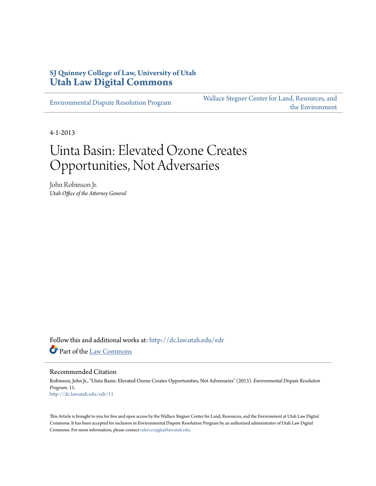# **SJ Quinney College of Law, University of Utah [Utah Law Digital Commons](http://dc.law.utah.edu?utm_source=dc.law.utah.edu%2Fedr%2F11&utm_medium=PDF&utm_campaign=PDFCoverPages)**

[Environmental Dispute Resolution Program](http://dc.law.utah.edu/edr?utm_source=dc.law.utah.edu%2Fedr%2F11&utm_medium=PDF&utm_campaign=PDFCoverPages)

[Wallace Stegner Center for Land, Resources, and](http://dc.law.utah.edu/stegner?utm_source=dc.law.utah.edu%2Fedr%2F11&utm_medium=PDF&utm_campaign=PDFCoverPages) [the Environment](http://dc.law.utah.edu/stegner?utm_source=dc.law.utah.edu%2Fedr%2F11&utm_medium=PDF&utm_campaign=PDFCoverPages)

4-1-2013

# Uinta Basin: Elevated Ozone Creates Opportunities, Not Adversaries

John Robinson Jr. *Utah Office of the Attorney General*

Follow this and additional works at: [http://dc.law.utah.edu/edr](http://dc.law.utah.edu/edr?utm_source=dc.law.utah.edu%2Fedr%2F11&utm_medium=PDF&utm_campaign=PDFCoverPages) Part of the [Law Commons](http://network.bepress.com/hgg/discipline/578?utm_source=dc.law.utah.edu%2Fedr%2F11&utm_medium=PDF&utm_campaign=PDFCoverPages)

#### Recommended Citation

Robinson, John Jr., "Uinta Basin: Elevated Ozone Creates Opportunities, Not Adversaries" (2013). *Environmental Dispute Resolution Program*. 11. [http://dc.law.utah.edu/edr/11](http://dc.law.utah.edu/edr/11?utm_source=dc.law.utah.edu%2Fedr%2F11&utm_medium=PDF&utm_campaign=PDFCoverPages)

This Article is brought to you for free and open access by the Wallace Stegner Center for Land, Resources, and the Environment at Utah Law Digital Commons. It has been accepted for inclusion in Environmental Dispute Resolution Program by an authorized administrator of Utah Law Digital Commons. For more information, please contact [valeri.craigle@law.utah.edu](mailto:valeri.craigle@law.utah.edu).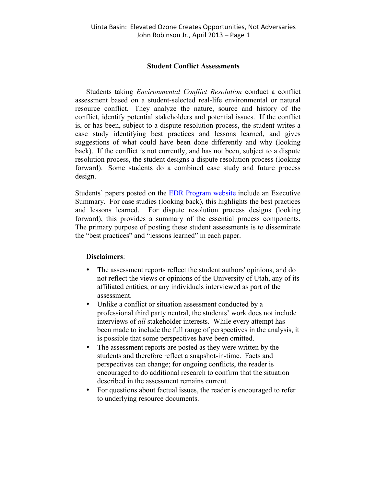#### **Student Conflict Assessments**

Students taking *Environmental Conflict Resolution* conduct a conflict assessment based on a student-selected real-life environmental or natural resource conflict. They analyze the nature, source and history of the conflict, identify potential stakeholders and potential issues. If the conflict is, or has been, subject to a dispute resolution process, the student writes a case study identifying best practices and lessons learned, and gives suggestions of what could have been done differently and why (looking back). If the conflict is not currently, and has not been, subject to a dispute resolution process, the student designs a dispute resolution process (looking forward). Some students do a combined case study and future process design.

Students' papers posted on the EDR Program website include an Executive Summary. For case studies (looking back), this highlights the best practices and lessons learned. For dispute resolution process designs (looking forward), this provides a summary of the essential process components. The primary purpose of posting these student assessments is to disseminate the "best practices" and "lessons learned" in each paper.

#### **Disclaimers**:

- The assessment reports reflect the student authors' opinions, and do not reflect the views or opinions of the University of Utah, any of its affiliated entities, or any individuals interviewed as part of the assessment.
- Unlike a conflict or situation assessment conducted by a professional third party neutral, the students' work does not include interviews of *all* stakeholder interests. While every attempt has been made to include the full range of perspectives in the analysis, it is possible that some perspectives have been omitted.
- The assessment reports are posted as they were written by the students and therefore reflect a snapshot-in-time. Facts and perspectives can change; for ongoing conflicts, the reader is encouraged to do additional research to confirm that the situation described in the assessment remains current.
- For questions about factual issues, the reader is encouraged to refer to underlying resource documents.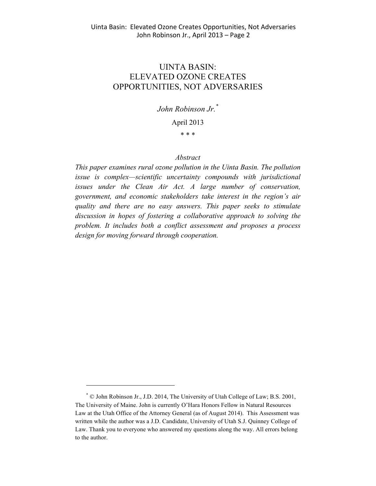## UINTA BASIN: ELEVATED OZONE CREATES OPPORTUNITIES, NOT ADVERSARIES

### *John Robinson Jr.\**

#### April 2013

\* \* \*

#### *Abstract*

*This paper examines rural ozone pollution in the Uinta Basin. The pollution issue is complex—scientific uncertainty compounds with jurisdictional issues under the Clean Air Act. A large number of conservation, government, and economic stakeholders take interest in the region's air quality and there are no easy answers. This paper seeks to stimulate discussion in hopes of fostering a collaborative approach to solving the problem. It includes both a conflict assessment and proposes a process design for moving forward through cooperation.*

<sup>\*</sup> © John Robinson Jr., J.D. 2014, The University of Utah College of Law; B.S. 2001, The University of Maine. John is currently O'Hara Honors Fellow in Natural Resources Law at the Utah Office of the Attorney General (as of August 2014). This Assessment was written while the author was a J.D. Candidate, University of Utah S.J. Quinney College of Law. Thank you to everyone who answered my questions along the way. All errors belong to the author.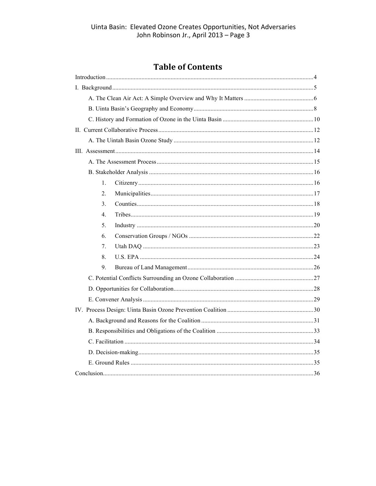# **Table of Contents**

| 1.             |  |  |
|----------------|--|--|
| 2.             |  |  |
| 3 <sub>1</sub> |  |  |
| 4.             |  |  |
| 5.             |  |  |
| 6.             |  |  |
| 7.             |  |  |
| 8.             |  |  |
| 9.             |  |  |
|                |  |  |
|                |  |  |
|                |  |  |
|                |  |  |
|                |  |  |
|                |  |  |
|                |  |  |
|                |  |  |
|                |  |  |
|                |  |  |
|                |  |  |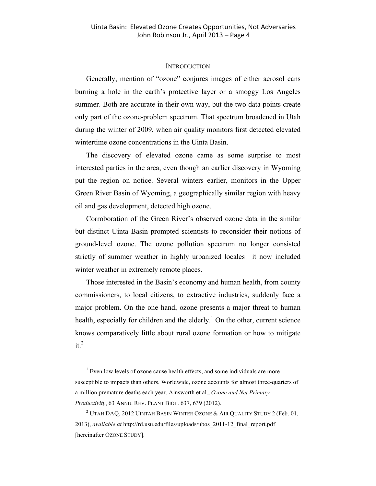#### **INTRODUCTION**

Generally, mention of "ozone" conjures images of either aerosol cans burning a hole in the earth's protective layer or a smoggy Los Angeles summer. Both are accurate in their own way, but the two data points create only part of the ozone-problem spectrum. That spectrum broadened in Utah during the winter of 2009, when air quality monitors first detected elevated wintertime ozone concentrations in the Uinta Basin.

The discovery of elevated ozone came as some surprise to most interested parties in the area, even though an earlier discovery in Wyoming put the region on notice. Several winters earlier, monitors in the Upper Green River Basin of Wyoming, a geographically similar region with heavy oil and gas development, detected high ozone.

Corroboration of the Green River's observed ozone data in the similar but distinct Uinta Basin prompted scientists to reconsider their notions of ground-level ozone. The ozone pollution spectrum no longer consisted strictly of summer weather in highly urbanized locales—it now included winter weather in extremely remote places.

Those interested in the Basin's economy and human health, from county commissioners, to local citizens, to extractive industries, suddenly face a major problem. On the one hand, ozone presents a major threat to human health, especially for children and the elderly.<sup>1</sup> On the other, current science knows comparatively little about rural ozone formation or how to mitigate  $it^2$ 

 $1$  Even low levels of ozone cause health effects, and some individuals are more susceptible to impacts than others. Worldwide, ozone accounts for almost three-quarters of a million premature deaths each year. Ainsworth et al., *Ozone and Net Primary Productivity*, 63 ANNU. REV. PLANT BIOL. 637, 639 (2012).

<sup>&</sup>lt;sup>2</sup> UTAH DAQ, 2012 UINTAH BASIN WINTER OZONE  $\&$  AIR QUALITY STUDY 2 (Feb. 01, 2013), *available at* http://rd.usu.edu/files/uploads/ubos\_2011-12\_final\_report.pdf [hereinafter OZONE STUDY].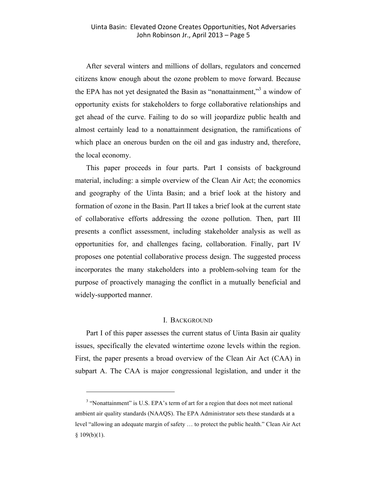After several winters and millions of dollars, regulators and concerned citizens know enough about the ozone problem to move forward. Because the EPA has not yet designated the Basin as "nonattainment,"<sup>3</sup> a window of opportunity exists for stakeholders to forge collaborative relationships and get ahead of the curve. Failing to do so will jeopardize public health and almost certainly lead to a nonattainment designation, the ramifications of which place an onerous burden on the oil and gas industry and, therefore, the local economy.

This paper proceeds in four parts. Part I consists of background material, including: a simple overview of the Clean Air Act; the economics and geography of the Uinta Basin; and a brief look at the history and formation of ozone in the Basin. Part II takes a brief look at the current state of collaborative efforts addressing the ozone pollution. Then, part III presents a conflict assessment, including stakeholder analysis as well as opportunities for, and challenges facing, collaboration. Finally, part IV proposes one potential collaborative process design. The suggested process incorporates the many stakeholders into a problem-solving team for the purpose of proactively managing the conflict in a mutually beneficial and widely-supported manner.

#### I. BACKGROUND

Part I of this paper assesses the current status of Uinta Basin air quality issues, specifically the elevated wintertime ozone levels within the region. First, the paper presents a broad overview of the Clean Air Act (CAA) in subpart A. The CAA is major congressional legislation, and under it the

<sup>&</sup>lt;sup>3</sup> "Nonattainment" is U.S. EPA's term of art for a region that does not meet national ambient air quality standards (NAAQS). The EPA Administrator sets these standards at a level "allowing an adequate margin of safety … to protect the public health." Clean Air Act  $§ 109(b)(1).$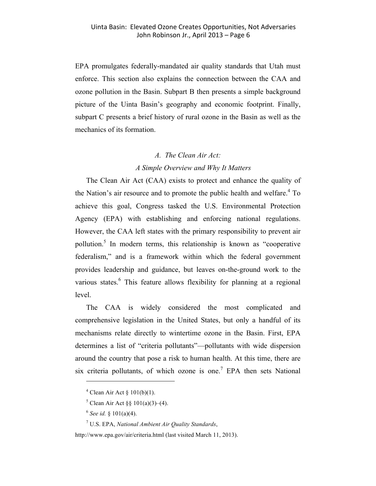EPA promulgates federally-mandated air quality standards that Utah must enforce. This section also explains the connection between the CAA and ozone pollution in the Basin. Subpart B then presents a simple background picture of the Uinta Basin's geography and economic footprint. Finally, subpart C presents a brief history of rural ozone in the Basin as well as the mechanics of its formation.

#### *A. The Clean Air Act:*

#### *A Simple Overview and Why It Matters*

The Clean Air Act (CAA) exists to protect and enhance the quality of the Nation's air resource and to promote the public health and welfare.<sup>4</sup> To achieve this goal, Congress tasked the U.S. Environmental Protection Agency (EPA) with establishing and enforcing national regulations. However, the CAA left states with the primary responsibility to prevent air pollution.<sup>5</sup> In modern terms, this relationship is known as "cooperative" federalism," and is a framework within which the federal government provides leadership and guidance, but leaves on-the-ground work to the various states.<sup>6</sup> This feature allows flexibility for planning at a regional level.

The CAA is widely considered the most complicated and comprehensive legislation in the United States, but only a handful of its mechanisms relate directly to wintertime ozone in the Basin. First, EPA determines a list of "criteria pollutants"—pollutants with wide dispersion around the country that pose a risk to human health. At this time, there are six criteria pollutants, of which ozone is one.<sup>7</sup> EPA then sets National

 $4$  Clean Air Act  $\frac{101(b)(1)}{10}$ .

 $5$  Clean Air Act  $88$  101(a)(3)–(4).

<sup>6</sup> *See id.* § 101(a)(4).

<sup>7</sup> U.S. EPA, *National Ambient Air Quality Standards*,

http://www.epa.gov/air/criteria.html (last visited March 11, 2013).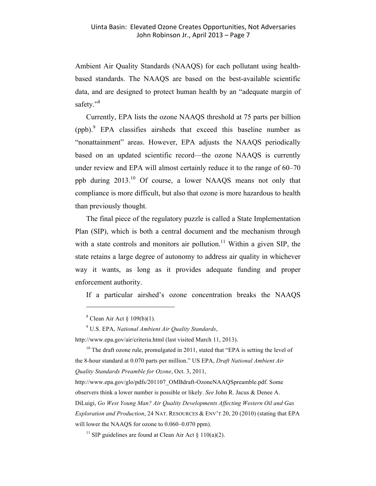Ambient Air Quality Standards (NAAQS) for each pollutant using healthbased standards. The NAAQS are based on the best-available scientific data, and are designed to protect human health by an "adequate margin of safety."<sup>8</sup>

Currently, EPA lists the ozone NAAQS threshold at 75 parts per billion (ppb).<sup>9</sup> EPA classifies airsheds that exceed this baseline number as "nonattainment" areas. However, EPA adjusts the NAAQS periodically based on an updated scientific record—the ozone NAAQS is currently under review and EPA will almost certainly reduce it to the range of 60–70 ppb during 2013.10 Of course, a lower NAAQS means not only that compliance is more difficult, but also that ozone is more hazardous to health than previously thought.

The final piece of the regulatory puzzle is called a State Implementation Plan (SIP), which is both a central document and the mechanism through with a state controls and monitors air pollution.<sup>11</sup> Within a given SIP, the state retains a large degree of autonomy to address air quality in whichever way it wants, as long as it provides adequate funding and proper enforcement authority.

If a particular airshed's ozone concentration breaks the NAAQS

 $\overline{a}$ 

<sup>9</sup> U.S. EPA, *National Ambient Air Quality Standards*,

http://www.epa.gov/air/criteria.html (last visited March 11, 2013).

<sup>10</sup> The draft ozone rule, promulgated in 2011, stated that "EPA is setting the level of the 8-hour standard at 0.070 parts per million." US EPA, *Draft National Ambient Air Quality Standards Preamble for Ozone*, Oct. 3, 2011,

http://www.epa.gov/glo/pdfs/201107\_OMBdraft-OzoneNAAQSpreamble.pdf. Some observers think a lower number is possible or likely. *See* John R. Jacus & Denee A. DiLuigi, *Go West Young Man? Air Quality Developments Affecting Western Oil and Gas Exploration and Production*, 24 NAT. RESOURCES & ENV'T 20, 20 (2010) (stating that EPA will lower the NAAQS for ozone to 0.060–0.070 ppm).

<sup>11</sup> SIP guidelines are found at Clean Air Act  $\S$  110(a)(2).

 $8$  Clean Air Act  $8$  109(b)(1).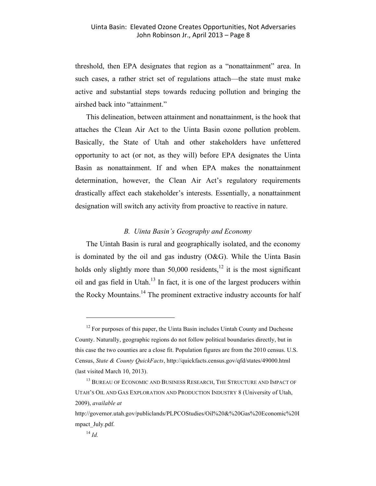threshold, then EPA designates that region as a "nonattainment" area. In such cases, a rather strict set of regulations attach—the state must make active and substantial steps towards reducing pollution and bringing the airshed back into "attainment."

This delineation, between attainment and nonattainment, is the hook that attaches the Clean Air Act to the Uinta Basin ozone pollution problem. Basically, the State of Utah and other stakeholders have unfettered opportunity to act (or not, as they will) before EPA designates the Uinta Basin as nonattainment. If and when EPA makes the nonattainment determination, however, the Clean Air Act's regulatory requirements drastically affect each stakeholder's interests. Essentially, a nonattainment designation will switch any activity from proactive to reactive in nature.

#### *B. Uinta Basin's Geography and Economy*

The Uintah Basin is rural and geographically isolated, and the economy is dominated by the oil and gas industry  $(O&G)$ . While the Uinta Basin holds only slightly more than  $50,000$  residents,<sup>12</sup> it is the most significant oil and gas field in Utah.13 In fact, it is one of the largest producers within the Rocky Mountains.<sup>14</sup> The prominent extractive industry accounts for half

 $12$  For purposes of this paper, the Uinta Basin includes Uintah County and Duchesne County. Naturally, geographic regions do not follow political boundaries directly, but in this case the two counties are a close fit. Population figures are from the 2010 census. U.S. Census, *State & County QuickFacts*, http://quickfacts.census.gov/qfd/states/49000.html (last visited March 10, 2013).

 $^{13}$  BUREAU OF ECONOMIC AND BUSINESS RESEARCH, THE STRUCTURE AND IMPACT OF UTAH'S OIL AND GAS EXPLORATION AND PRODUCTION INDUSTRY 8 (University of Utah, 2009), *available at*

http://governor.utah.gov/publiclands/PLPCOStudies/Oil%20&%20Gas%20Economic%20I mpact\_July.pdf.

<sup>14</sup> *Id.*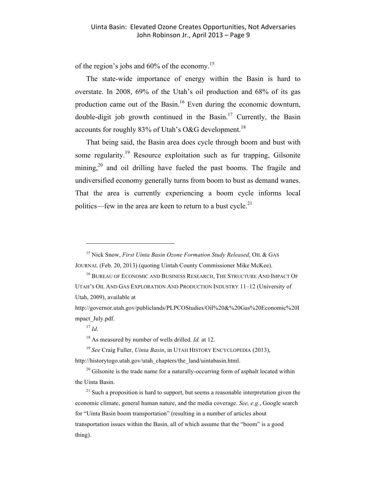of the region's jobs and 60% of the economy.<sup>15</sup>

The state-wide importance of energy within the Basin is hard to overstate. In 2008, 69% of the Utah's oil production and 68% of its gas production came out of the Basin.<sup>16</sup> Even during the economic downturn, double-digit job growth continued in the Basin.<sup>17</sup> Currently, the Basin accounts for roughly 83% of Utah's O&G development.<sup>18</sup>

That being said, the Basin area does cycle through boom and bust with some regularity.19 Resource exploitation such as fur trapping, Gilsonite mining,<sup>20</sup> and oil drilling have fueled the past booms. The fragile and undiversified economy generally turns from boom to bust as demand wanes. That the area is currently experiencing a boom cycle informs local politics—few in the area are keen to return to a bust cycle. $2<sup>1</sup>$ 

 $^{17}$  *Id.* 

<sup>&</sup>lt;sup>15</sup> Nick Snow, *First Uinta Basin Ozone Formation Study Released*, OIL & GAS JOURNAL (Feb. 20, 2013) (quoting Uintah County Commissioner Mike McKee).

<sup>16</sup> BUREAU OF ECONOMIC AND BUSINESS RESEARCH, THE STRUCTURE AND IMPACT OF UTAH'S OIL AND GAS EXPLORATION AND PRODUCTION INDUSTRY 11–12 (University of Utah, 2009), available at

http://governor.utah.gov/publiclands/PLPCOStudies/Oil%20&%20Gas%20Economic%20I mpact\_July.pdf.

<sup>18</sup> As measured by number of wells drilled. *Id.* at 12.

<sup>19</sup> *See* Craig Fuller, *Uinta Basin*, in UTAH HISTORY ENCYCLOPEDIA (2013), http://historytogo.utah.gov/utah\_chapters/the\_land/uintabasin.html.

 $20$  Gilsonite is the trade name for a naturally-occurring form of asphalt located within the Uinta Basin.

 $21$  Such a proposition is hard to support, but seems a reasonable interpretation given the economic climate, general human nature, and the media coverage. *See, e.g.*, Google search for "Uinta Basin boom transportation" (resulting in a number of articles about transportation issues within the Basin, all of which assume that the "boom" is a good thing).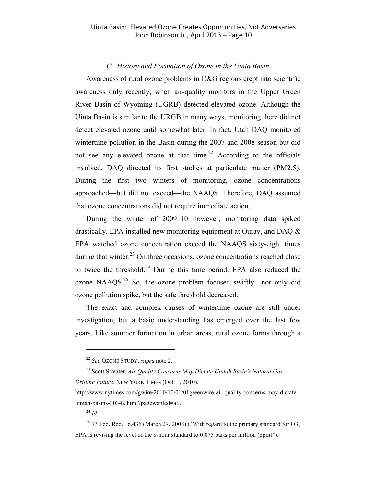#### *C. History and Formation of Ozone in the Uinta Basin*

Awareness of rural ozone problems in O&G regions crept into scientific awareness only recently, when air-quality monitors in the Upper Green River Basin of Wyoming (UGRB) detected elevated ozone. Although the Uinta Basin is similar to the URGB in many ways, monitoring there did not detect elevated ozone until somewhat later. In fact, Utah DAQ monitored wintertime pollution in the Basin during the 2007 and 2008 season but did not see any elevated ozone at that time.<sup>22</sup> According to the officials involved, DAQ directed its first studies at particulate matter (PM2.5). During the first two winters of monitoring, ozone concentrations approached—but did not exceed—the NAAQS. Therefore, DAQ assumed that ozone concentrations did not require immediate action.

During the winter of 2009–10 however, monitoring data spiked drastically. EPA installed new monitoring equipment at Ouray, and DAQ & EPA watched ozone concentration exceed the NAAQS sixty-eight times during that winter.<sup>23</sup> On three occasions, ozone concentrations reached close to twice the threshold. <sup>24</sup> During this time period, EPA also reduced the ozone  $NAAQS<sup>25</sup>$  So, the ozone problem focused swiftly—not only did ozone pollution spike, but the safe threshold decreased.

The exact and complex causes of wintertime ozone are still under investigation, but a basic understanding has emerged over the last few years. Like summer formation in urban areas, rural ozone forms through a

<sup>24</sup> *Id.*

<sup>22</sup> *See* OZONE STUDY, *supra* note 2.

<sup>23</sup> Scott Streater, *Air Quality Concerns May Dictate Uintah Basin's Natural Gas Drilling Future*, NEW YORK TIMES (Oct. 1, 2010),

http://www.nytimes.com/gwire/2010/10/01/01greenwire-air-quality-concerns-may-dictateuintah-basins-30342.html?pagewanted=all.

 $^{25}$  73 Fed. Red. 16,436 (March 27, 2008) ("With regard to the primary standard for O3, EPA is revising the level of the 8-hour standard to 0.075 parts per million (ppm)").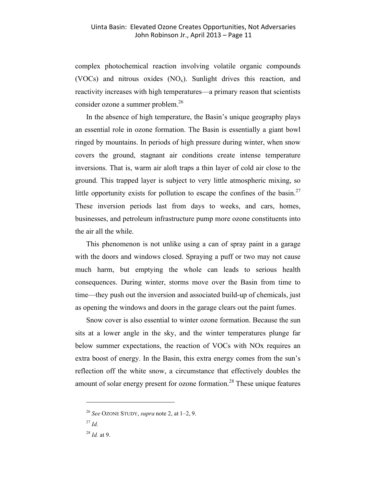complex photochemical reaction involving volatile organic compounds (VOCs) and nitrous oxides  $(NO_x)$ . Sunlight drives this reaction, and reactivity increases with high temperatures—a primary reason that scientists consider ozone a summer problem.<sup>26</sup>

In the absence of high temperature, the Basin's unique geography plays an essential role in ozone formation. The Basin is essentially a giant bowl ringed by mountains. In periods of high pressure during winter, when snow covers the ground, stagnant air conditions create intense temperature inversions. That is, warm air aloft traps a thin layer of cold air close to the ground. This trapped layer is subject to very little atmospheric mixing, so little opportunity exists for pollution to escape the confines of the basin.<sup>27</sup> These inversion periods last from days to weeks, and cars, homes, businesses, and petroleum infrastructure pump more ozone constituents into the air all the while.

This phenomenon is not unlike using a can of spray paint in a garage with the doors and windows closed. Spraying a puff or two may not cause much harm, but emptying the whole can leads to serious health consequences. During winter, storms move over the Basin from time to time—they push out the inversion and associated build-up of chemicals, just as opening the windows and doors in the garage clears out the paint fumes.

Snow cover is also essential to winter ozone formation. Because the sun sits at a lower angle in the sky, and the winter temperatures plunge far below summer expectations, the reaction of VOCs with NOx requires an extra boost of energy. In the Basin, this extra energy comes from the sun's reflection off the white snow, a circumstance that effectively doubles the amount of solar energy present for ozone formation.<sup>28</sup> These unique features

<sup>26</sup> *See* OZONE STUDY, *supra* note 2, at 1–2, 9.

<sup>27</sup> *Id.*

<sup>28</sup> *Id.* at 9.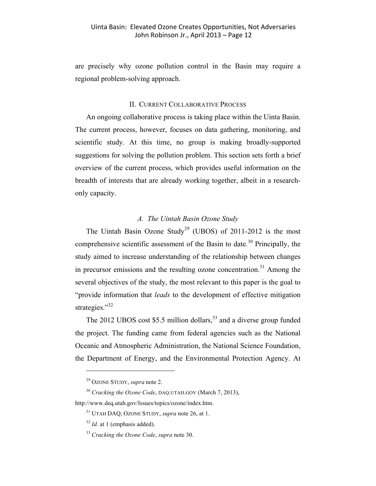are precisely why ozone pollution control in the Basin may require a regional problem-solving approach.

#### II. CURRENT COLLABORATIVE PROCESS

An ongoing collaborative process is taking place within the Uinta Basin. The current process, however, focuses on data gathering, monitoring, and scientific study. At this time, no group is making broadly-supported suggestions for solving the pollution problem. This section sets forth a brief overview of the current process, which provides useful information on the breadth of interests that are already working together, albeit in a researchonly capacity.

#### *A. The Uintah Basin Ozone Study*

The Uintah Basin Ozone Study<sup>29</sup> (UBOS) of 2011-2012 is the most comprehensive scientific assessment of the Basin to date.<sup>30</sup> Principally, the study aimed to increase understanding of the relationship between changes in precursor emissions and the resulting ozone concentration.<sup>31</sup> Among the several objectives of the study, the most relevant to this paper is the goal to "provide information that *leads* to the development of effective mitigation strategies."<sup>32</sup>

The 2012 UBOS cost \$5.5 million dollars, $33$  and a diverse group funded the project. The funding came from federal agencies such as the National Oceanic and Atmospheric Administration, the National Science Foundation, the Department of Energy, and the Environmental Protection Agency. At

<sup>29</sup> OZONE STUDY, *supra* note 2.

<sup>30</sup> *Cracking the Ozone Code*, DAQ.UTAH.GOV (March 7, 2013),

http://www.deq.utah.gov/Issues/topics/ozone/index.htm.

<sup>31</sup> UTAH DAQ, OZONE STUDY, *supra* note 26, at 1.

<sup>&</sup>lt;sup>32</sup> *Id.* at 1 (emphasis added).

<sup>33</sup> *Cracking the Ozone Code*, *supra* note 30.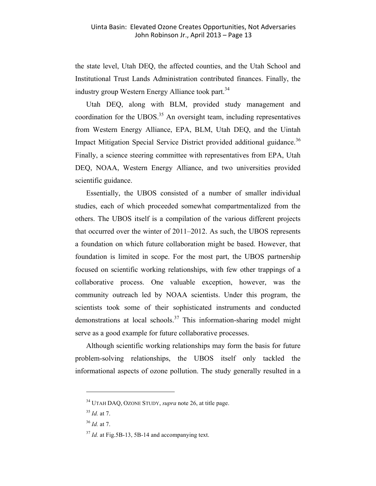the state level, Utah DEQ, the affected counties, and the Utah School and Institutional Trust Lands Administration contributed finances. Finally, the industry group Western Energy Alliance took part.<sup>34</sup>

Utah DEQ, along with BLM, provided study management and coordination for the UBOS. $35$  An oversight team, including representatives from Western Energy Alliance, EPA, BLM, Utah DEQ, and the Uintah Impact Mitigation Special Service District provided additional guidance.<sup>36</sup> Finally, a science steering committee with representatives from EPA, Utah DEQ, NOAA, Western Energy Alliance, and two universities provided scientific guidance.

Essentially, the UBOS consisted of a number of smaller individual studies, each of which proceeded somewhat compartmentalized from the others. The UBOS itself is a compilation of the various different projects that occurred over the winter of 2011–2012. As such, the UBOS represents a foundation on which future collaboration might be based. However, that foundation is limited in scope. For the most part, the UBOS partnership focused on scientific working relationships, with few other trappings of a collaborative process. One valuable exception, however, was the community outreach led by NOAA scientists. Under this program, the scientists took some of their sophisticated instruments and conducted demonstrations at local schools.<sup>37</sup> This information-sharing model might serve as a good example for future collaborative processes.

Although scientific working relationships may form the basis for future problem-solving relationships, the UBOS itself only tackled the informational aspects of ozone pollution. The study generally resulted in a

<sup>34</sup> UTAH DAQ, OZONE STUDY, *supra* note 26, at title page.

<sup>35</sup> *Id.* at 7.

<sup>36</sup> *Id.* at 7.

<sup>&</sup>lt;sup>37</sup> *Id.* at Fig.5B-13, 5B-14 and accompanying text.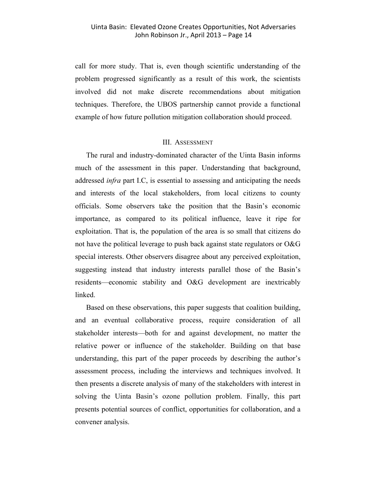call for more study. That is, even though scientific understanding of the problem progressed significantly as a result of this work, the scientists involved did not make discrete recommendations about mitigation techniques. Therefore, the UBOS partnership cannot provide a functional example of how future pollution mitigation collaboration should proceed.

#### III. ASSESSMENT

The rural and industry-dominated character of the Uinta Basin informs much of the assessment in this paper. Understanding that background, addressed *infra* part I.C, is essential to assessing and anticipating the needs and interests of the local stakeholders, from local citizens to county officials. Some observers take the position that the Basin's economic importance, as compared to its political influence, leave it ripe for exploitation. That is, the population of the area is so small that citizens do not have the political leverage to push back against state regulators or O&G special interests. Other observers disagree about any perceived exploitation, suggesting instead that industry interests parallel those of the Basin's residents—economic stability and O&G development are inextricably linked.

Based on these observations, this paper suggests that coalition building, and an eventual collaborative process, require consideration of all stakeholder interests—both for and against development, no matter the relative power or influence of the stakeholder. Building on that base understanding, this part of the paper proceeds by describing the author's assessment process, including the interviews and techniques involved. It then presents a discrete analysis of many of the stakeholders with interest in solving the Uinta Basin's ozone pollution problem. Finally, this part presents potential sources of conflict, opportunities for collaboration, and a convener analysis.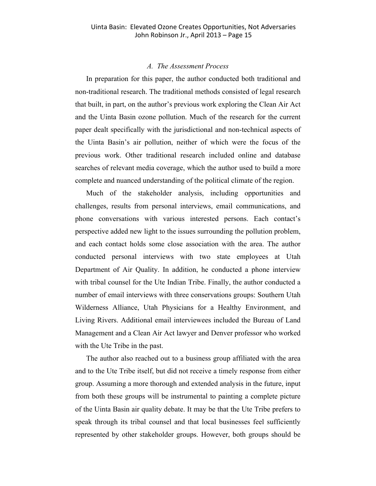#### *A. The Assessment Process*

In preparation for this paper, the author conducted both traditional and non-traditional research. The traditional methods consisted of legal research that built, in part, on the author's previous work exploring the Clean Air Act and the Uinta Basin ozone pollution. Much of the research for the current paper dealt specifically with the jurisdictional and non-technical aspects of the Uinta Basin's air pollution, neither of which were the focus of the previous work. Other traditional research included online and database searches of relevant media coverage, which the author used to build a more complete and nuanced understanding of the political climate of the region.

Much of the stakeholder analysis, including opportunities and challenges, results from personal interviews, email communications, and phone conversations with various interested persons. Each contact's perspective added new light to the issues surrounding the pollution problem, and each contact holds some close association with the area. The author conducted personal interviews with two state employees at Utah Department of Air Quality. In addition, he conducted a phone interview with tribal counsel for the Ute Indian Tribe. Finally, the author conducted a number of email interviews with three conservations groups: Southern Utah Wilderness Alliance, Utah Physicians for a Healthy Environment, and Living Rivers. Additional email interviewees included the Bureau of Land Management and a Clean Air Act lawyer and Denver professor who worked with the Ute Tribe in the past.

The author also reached out to a business group affiliated with the area and to the Ute Tribe itself, but did not receive a timely response from either group. Assuming a more thorough and extended analysis in the future, input from both these groups will be instrumental to painting a complete picture of the Uinta Basin air quality debate. It may be that the Ute Tribe prefers to speak through its tribal counsel and that local businesses feel sufficiently represented by other stakeholder groups. However, both groups should be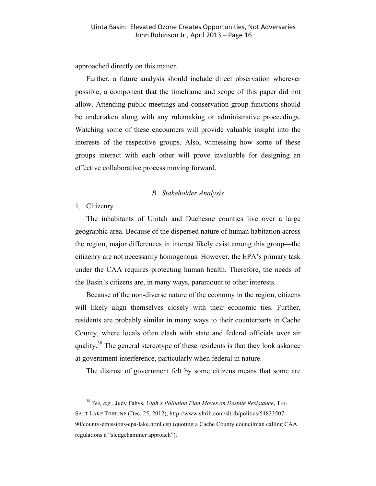approached directly on this matter.

Further, a future analysis should include direct observation wherever possible, a component that the timeframe and scope of this paper did not allow. Attending public meetings and conservation group functions should be undertaken along with any rulemaking or administrative proceedings. Watching some of these encounters will provide valuable insight into the interests of the respective groups. Also, witnessing how some of these groups interact with each other will prove invaluable for designing an effective collaborative process moving forward.

#### *B. Stakeholder Analysis*

#### 1. Citizenry

 $\overline{a}$ 

The inhabitants of Uintah and Duchesne counties live over a large geographic area. Because of the dispersed nature of human habitation across the region, major differences in interest likely exist among this group—the citizenry are not necessarily homogenous. However, the EPA's primary task under the CAA requires protecting human health. Therefore, the needs of the Basin's citizens are, in many ways, paramount to other interests.

Because of the non-diverse nature of the economy in the region, citizens will likely align themselves closely with their economic ties. Further, residents are probably similar in many ways to their counterparts in Cache County, where locals often clash with state and federal officials over air quality.<sup>38</sup> The general stereotype of these residents is that they look askance at government interference, particularly when federal in nature.

The distrust of government felt by some citizens means that some are

<sup>38</sup> *See, e.g.*, Judy Fahys, *Utah's Pollution Plan Moves on Despite Resistance*, THE SALT LAKE TRIBUNE (Dec. 25, 2012), http://www.sltrib.com/sltrib/politics/54833507- 90/county-emissions-epa-lake.html.csp (quoting a Cache County councilman calling CAA regulations a "sledgehammer approach").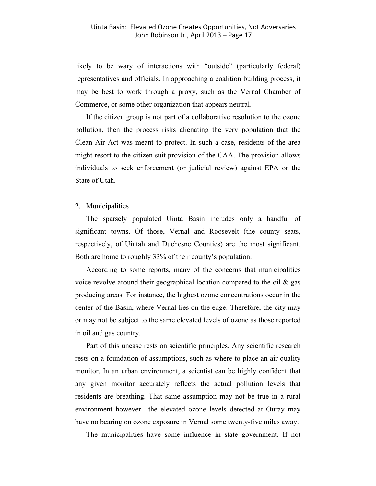likely to be wary of interactions with "outside" (particularly federal) representatives and officials. In approaching a coalition building process, it may be best to work through a proxy, such as the Vernal Chamber of Commerce, or some other organization that appears neutral.

If the citizen group is not part of a collaborative resolution to the ozone pollution, then the process risks alienating the very population that the Clean Air Act was meant to protect. In such a case, residents of the area might resort to the citizen suit provision of the CAA. The provision allows individuals to seek enforcement (or judicial review) against EPA or the State of Utah.

#### 2. Municipalities

The sparsely populated Uinta Basin includes only a handful of significant towns. Of those, Vernal and Roosevelt (the county seats, respectively, of Uintah and Duchesne Counties) are the most significant. Both are home to roughly 33% of their county's population.

According to some reports, many of the concerns that municipalities voice revolve around their geographical location compared to the oil  $\&$  gas producing areas. For instance, the highest ozone concentrations occur in the center of the Basin, where Vernal lies on the edge. Therefore, the city may or may not be subject to the same elevated levels of ozone as those reported in oil and gas country.

Part of this unease rests on scientific principles. Any scientific research rests on a foundation of assumptions, such as where to place an air quality monitor. In an urban environment, a scientist can be highly confident that any given monitor accurately reflects the actual pollution levels that residents are breathing. That same assumption may not be true in a rural environment however—the elevated ozone levels detected at Ouray may have no bearing on ozone exposure in Vernal some twenty-five miles away.

The municipalities have some influence in state government. If not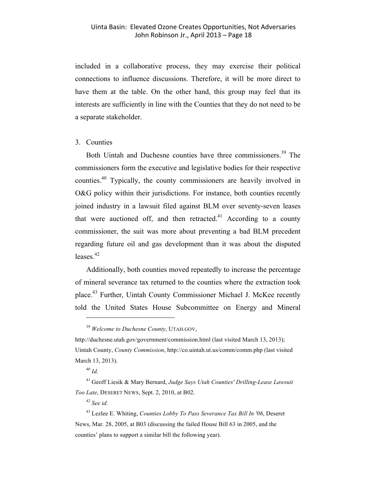included in a collaborative process, they may exercise their political connections to influence discussions. Therefore, it will be more direct to have them at the table. On the other hand, this group may feel that its interests are sufficiently in line with the Counties that they do not need to be a separate stakeholder.

#### 3. Counties

Both Uintah and Duchesne counties have three commissioners. <sup>39</sup> The commissioners form the executive and legislative bodies for their respective counties. <sup>40</sup> Typically, the county commissioners are heavily involved in O&G policy within their jurisdictions. For instance, both counties recently joined industry in a lawsuit filed against BLM over seventy-seven leases that were auctioned off, and then retracted. $^{41}$  According to a county commissioner, the suit was more about preventing a bad BLM precedent regarding future oil and gas development than it was about the disputed leases. $42$ 

Additionally, both counties moved repeatedly to increase the percentage of mineral severance tax returned to the counties where the extraction took place.<sup>43</sup> Further, Uintah County Commissioner Michael J. McKee recently told the United States House Subcommittee on Energy and Mineral

 $\overline{a}$ 

<sup>42</sup> *See id.*

<sup>39</sup> *Welcome to Duchesne County*, UTAH.GOV,

http://duchesne.utah.gov/government/commission.html (last visited March 13, 2013); Uintah County, *County Commission*, http://co.uintah.ut.us/comm/comm.php (last visited March 13, 2013).

<sup>40</sup> *Id.*

<sup>41</sup> Geoff Liesik & Mary Bernard, *Judge Says Utah Counties' Drilling-Lease Lawsuit Too Late*, DESERET NEWS, Sept. 2, 2010, at B02.

<sup>43</sup> Lezlee E. Whiting, *Counties Lobby To Pass Severance Tax Bill In '06*, Deseret News, Mar. 28, 2005, at B03 (discussing the failed House Bill 63 in 2005, and the counties' plans to support a similar bill the following year).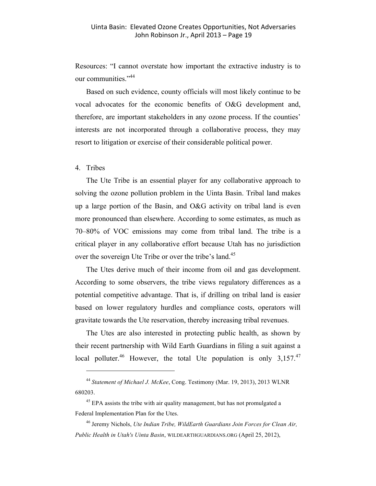Resources: "I cannot overstate how important the extractive industry is to our communities."<sup>44</sup>

Based on such evidence, county officials will most likely continue to be vocal advocates for the economic benefits of O&G development and, therefore, are important stakeholders in any ozone process. If the counties' interests are not incorporated through a collaborative process, they may resort to litigation or exercise of their considerable political power.

4. Tribes

 $\overline{a}$ 

The Ute Tribe is an essential player for any collaborative approach to solving the ozone pollution problem in the Uinta Basin. Tribal land makes up a large portion of the Basin, and O&G activity on tribal land is even more pronounced than elsewhere. According to some estimates, as much as 70–80% of VOC emissions may come from tribal land. The tribe is a critical player in any collaborative effort because Utah has no jurisdiction over the sovereign Ute Tribe or over the tribe's land.<sup>45</sup>

The Utes derive much of their income from oil and gas development. According to some observers, the tribe views regulatory differences as a potential competitive advantage. That is, if drilling on tribal land is easier based on lower regulatory hurdles and compliance costs, operators will gravitate towards the Ute reservation, thereby increasing tribal revenues.

The Utes are also interested in protecting public health, as shown by their recent partnership with Wild Earth Guardians in filing a suit against a local polluter.<sup>46</sup> However, the total Ute population is only  $3,157.^{47}$ 

<sup>44</sup> *Statement of Michael J. McKee*, Cong. Testimony (Mar. 19, 2013), 2013 WLNR 680203.

 $45$  EPA assists the tribe with air quality management, but has not promulgated a Federal Implementation Plan for the Utes.

<sup>46</sup> Jeremy Nichols, *Ute Indian Tribe, WildEarth Guardians Join Forces for Clean Air, Public Health in Utah's Uinta Basin*, WILDEARTHGUARDIANS.ORG (April 25, 2012),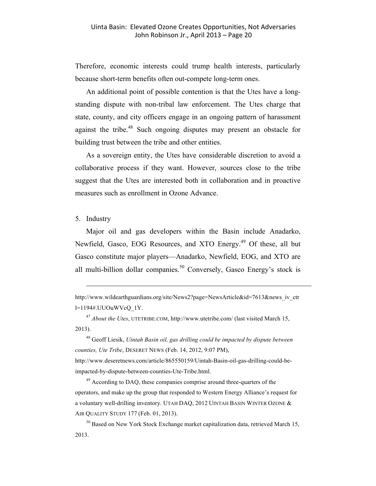Therefore, economic interests could trump health interests, particularly because short-term benefits often out-compete long-term ones.

An additional point of possible contention is that the Utes have a longstanding dispute with non-tribal law enforcement. The Utes charge that state, county, and city officers engage in an ongoing pattern of harassment against the tribe.<sup>48</sup> Such ongoing disputes may present an obstacle for building trust between the tribe and other entities.

As a sovereign entity, the Utes have considerable discretion to avoid a collaborative process if they want. However, sources close to the tribe suggest that the Utes are interested both in collaboration and in proactive measures such as enrollment in Ozone Advance.

#### 5. Industry

 $\overline{a}$ 

Major oil and gas developers within the Basin include Anadarko, Newfield, Gasco, EOG Resources, and XTO Energy.<sup>49</sup> Of these, all but Gasco constitute major players—Anadarko, Newfield, EOG, and XTO are all multi-billion dollar companies.<sup>50</sup> Conversely, Gasco Energy's stock is

<sup>47</sup> *About the Utes*, UTETRIBE.COM, http://www.utetribe.com/ (last visited March 15, 2013).

<sup>48</sup> Geoff Liesik, *Uintah Basin oil, gas drilling could be impacted by dispute between counties, Ute Tribe*, DESERET NEWS (Feb. 14, 2012, 9:07 PM), http://www.deseretnews.com/article/865550159/Uintah-Basin-oil-gas-drilling-could-beimpacted-by-dispute-between-counties-Ute-Tribe.html.

<sup>49</sup> According to DAQ, these companies comprise around three-quarters of the operators, and make up the group that responded to Western Energy Alliance's request for a voluntary well-drilling inventory. UTAH DAQ, 2012 UINTAH BASIN WINTER OZONE & AIR QUALITY STUDY 177 (Feb. 01, 2013).

<sup>50</sup> Based on New York Stock Exchange market capitalization data, retrieved March 15, 2013.

http://www.wildearthguardians.org/site/News2?page=NewsArticle&id=7613&news\_iv\_ctr l=1194#.UUOuWVcQ\_1Y.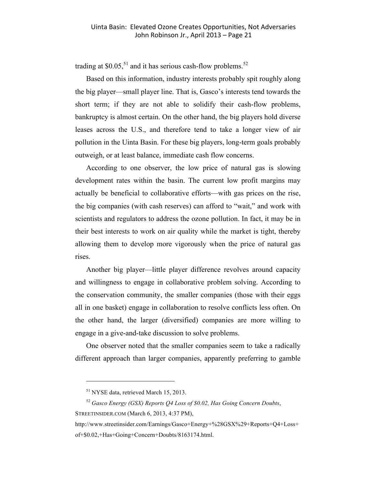trading at \$0.05,<sup>51</sup> and it has serious cash-flow problems.<sup>52</sup>

Based on this information, industry interests probably spit roughly along the big player—small player line. That is, Gasco's interests tend towards the short term; if they are not able to solidify their cash-flow problems, bankruptcy is almost certain. On the other hand, the big players hold diverse leases across the U.S., and therefore tend to take a longer view of air pollution in the Uinta Basin. For these big players, long-term goals probably outweigh, or at least balance, immediate cash flow concerns.

According to one observer, the low price of natural gas is slowing development rates within the basin. The current low profit margins may actually be beneficial to collaborative efforts—with gas prices on the rise, the big companies (with cash reserves) can afford to "wait," and work with scientists and regulators to address the ozone pollution. In fact, it may be in their best interests to work on air quality while the market is tight, thereby allowing them to develop more vigorously when the price of natural gas rises.

Another big player—little player difference revolves around capacity and willingness to engage in collaborative problem solving. According to the conservation community, the smaller companies (those with their eggs all in one basket) engage in collaboration to resolve conflicts less often. On the other hand, the larger (diversified) companies are more willing to engage in a give-and-take discussion to solve problems.

One observer noted that the smaller companies seem to take a radically different approach than larger companies, apparently preferring to gamble

<sup>51</sup> NYSE data, retrieved March 15, 2013.

<sup>52</sup> *Gasco Energy (GSX) Reports Q4 Loss of \$0.02, Has Going Concern Doubts*, STREETINSIDER.COM (March 6, 2013, 4:37 PM),

http://www.streetinsider.com/Earnings/Gasco+Energy+%28GSX%29+Reports+Q4+Loss+

of+\$0.02,+Has+Going+Concern+Doubts/8163174.html.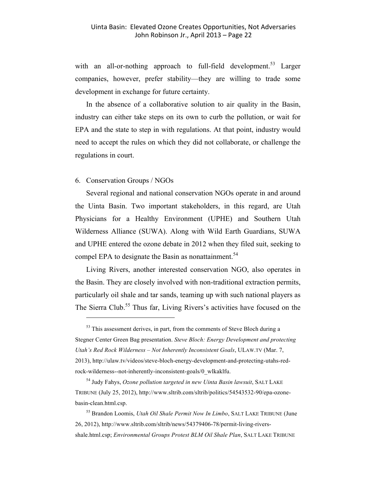with an all-or-nothing approach to full-field development.<sup>53</sup> Larger companies, however, prefer stability—they are willing to trade some development in exchange for future certainty.

In the absence of a collaborative solution to air quality in the Basin, industry can either take steps on its own to curb the pollution, or wait for EPA and the state to step in with regulations. At that point, industry would need to accept the rules on which they did not collaborate, or challenge the regulations in court.

#### 6. Conservation Groups / NGOs

 $\overline{a}$ 

Several regional and national conservation NGOs operate in and around the Uinta Basin. Two important stakeholders, in this regard, are Utah Physicians for a Healthy Environment (UPHE) and Southern Utah Wilderness Alliance (SUWA). Along with Wild Earth Guardians, SUWA and UPHE entered the ozone debate in 2012 when they filed suit, seeking to compel EPA to designate the Basin as nonattainment.<sup>54</sup>

Living Rivers, another interested conservation NGO, also operates in the Basin. They are closely involved with non-traditional extraction permits, particularly oil shale and tar sands, teaming up with such national players as The Sierra Club.<sup>55</sup> Thus far, Living Rivers's activities have focused on the

 $53$  This assessment derives, in part, from the comments of Steve Bloch during a Stegner Center Green Bag presentation. *Steve Bloch: Energy Development and protecting Utah's Red Rock Wilderness – Not Inherently Inconsistent Goals*, ULAW.TV (Mar. 7, 2013), http://ulaw.tv/videos/steve-bloch-energy-development-and-protecting-utahs-redrock-wilderness--not-inherently-inconsistent-goals/0\_wlkaklfu.

<sup>54</sup> Judy Fahys, *Ozone pollution targeted in new Uinta Basin lawsuit*, SALT LAKE TRIBUNE (July 25, 2012), http://www.sltrib.com/sltrib/politics/54543532-90/epa-ozonebasin-clean.html.csp.

<sup>55</sup> Brandon Loomis, *Utah Oil Shale Permit Now In Limbo*, SALT LAKE TRIBUNE (June 26, 2012), http://www.sltrib.com/sltrib/news/54379406-78/permit-living-riversshale.html.csp; *Environmental Groups Protest BLM Oil Shale Plan*, SALT LAKE TRIBUNE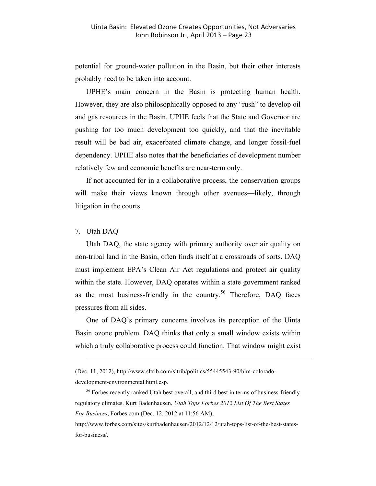potential for ground-water pollution in the Basin, but their other interests probably need to be taken into account.

UPHE's main concern in the Basin is protecting human health. However, they are also philosophically opposed to any "rush" to develop oil and gas resources in the Basin. UPHE feels that the State and Governor are pushing for too much development too quickly, and that the inevitable result will be bad air, exacerbated climate change, and longer fossil-fuel dependency. UPHE also notes that the beneficiaries of development number relatively few and economic benefits are near-term only.

If not accounted for in a collaborative process, the conservation groups will make their views known through other avenues—likely, through litigation in the courts.

#### 7. Utah DAQ

 $\overline{a}$ 

Utah DAQ, the state agency with primary authority over air quality on non-tribal land in the Basin, often finds itself at a crossroads of sorts. DAQ must implement EPA's Clean Air Act regulations and protect air quality within the state. However, DAQ operates within a state government ranked as the most business-friendly in the country.<sup>56</sup> Therefore, DAQ faces pressures from all sides.

One of DAQ's primary concerns involves its perception of the Uinta Basin ozone problem. DAQ thinks that only a small window exists within which a truly collaborative process could function. That window might exist

development-environmental.html.csp.

<sup>(</sup>Dec. 11, 2012), http://www.sltrib.com/sltrib/politics/55445543-90/blm-colorado-

<sup>&</sup>lt;sup>56</sup> Forbes recently ranked Utah best overall, and third best in terms of business-friendly regulatory climates. Kurt Badenhausen, *Utah Tops Forbes 2012 List Of The Best States For Business*, Forbes.com (Dec. 12, 2012 at 11:56 AM),

http://www.forbes.com/sites/kurtbadenhausen/2012/12/12/utah-tops-list-of-the-best-statesfor-business/.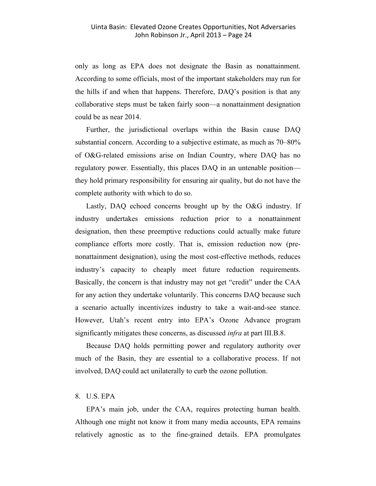only as long as EPA does not designate the Basin as nonattainment. According to some officials, most of the important stakeholders may run for the hills if and when that happens. Therefore, DAQ's position is that any collaborative steps must be taken fairly soon—a nonattainment designation could be as near 2014.

Further, the jurisdictional overlaps within the Basin cause DAQ substantial concern. According to a subjective estimate, as much as 70–80% of O&G-related emissions arise on Indian Country, where DAQ has no regulatory power. Essentially, this places DAQ in an untenable position they hold primary responsibility for ensuring air quality, but do not have the complete authority with which to do so.

Lastly, DAQ echoed concerns brought up by the O&G industry. If industry undertakes emissions reduction prior to a nonattainment designation, then these preemptive reductions could actually make future compliance efforts more costly. That is, emission reduction now (prenonattainment designation), using the most cost-effective methods, reduces industry's capacity to cheaply meet future reduction requirements. Basically, the concern is that industry may not get "credit" under the CAA for any action they undertake voluntarily. This concerns DAQ because such a scenario actually incentivizes industry to take a wait-and-see stance. However, Utah's recent entry into EPA's Ozone Advance program significantly mitigates these concerns, as discussed *infra* at part III.B.8.

Because DAQ holds permitting power and regulatory authority over much of the Basin, they are essential to a collaborative process. If not involved, DAQ could act unilaterally to curb the ozone pollution.

#### 8. U.S. EPA

EPA's main job, under the CAA, requires protecting human health. Although one might not know it from many media accounts, EPA remains relatively agnostic as to the fine-grained details. EPA promulgates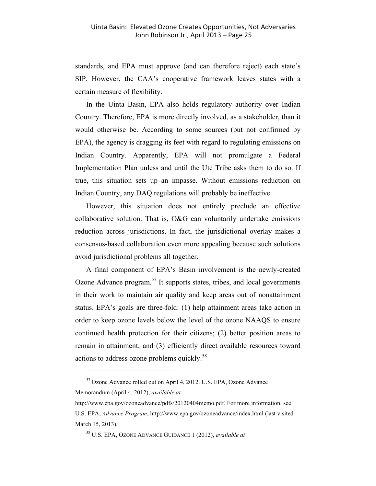standards, and EPA must approve (and can therefore reject) each state's SIP. However, the CAA's cooperative framework leaves states with a certain measure of flexibility.

In the Uinta Basin, EPA also holds regulatory authority over Indian Country. Therefore, EPA is more directly involved, as a stakeholder, than it would otherwise be. According to some sources (but not confirmed by EPA), the agency is dragging its feet with regard to regulating emissions on Indian Country. Apparently, EPA will not promulgate a Federal Implementation Plan unless and until the Ute Tribe asks them to do so. If true, this situation sets up an impasse. Without emissions reduction on Indian Country, any DAQ regulations will probably be ineffective.

However, this situation does not entirely preclude an effective collaborative solution. That is, O&G can voluntarily undertake emissions reduction across jurisdictions. In fact, the jurisdictional overlay makes a consensus-based collaboration even more appealing because such solutions avoid jurisdictional problems all together.

A final component of EPA's Basin involvement is the newly-created Ozone Advance program.<sup>57</sup> It supports states, tribes, and local governments in their work to maintain air quality and keep areas out of nonattainment status. EPA's goals are three-fold: (1) help attainment areas take action in order to keep ozone levels below the level of the ozone NAAQS to ensure continued health protection for their citizens; (2) better position areas to remain in attainment; and (3) efficiently direct available resources toward actions to address ozone problems quickly.<sup>58</sup>

<sup>57</sup> Ozone Advance rolled out on April 4, 2012. U.S. EPA, Ozone Advance Memorandum (April 4, 2012), *available at*

http://www.epa.gov/ozoneadvance/pdfs/20120404memo.pdf. For more information, see U.S. EPA, *Advance Program*, http://www.epa.gov/ozoneadvance/index.html (last visited March 15, 2013).

<sup>58</sup> U.S. EPA, OZONE ADVANCE GUIDANCE 1 (2012), *available at*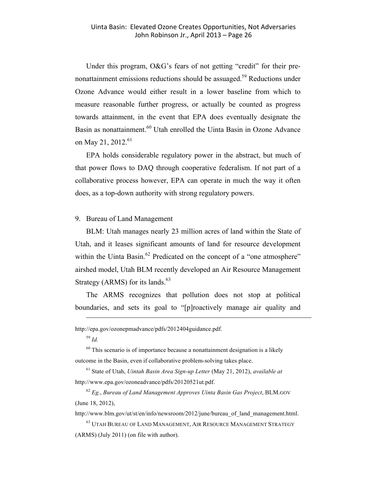Under this program, O&G's fears of not getting "credit" for their prenonattainment emissions reductions should be assuaged.<sup>59</sup> Reductions under Ozone Advance would either result in a lower baseline from which to measure reasonable further progress, or actually be counted as progress towards attainment, in the event that EPA does eventually designate the Basin as nonattainment.<sup>60</sup> Utah enrolled the Uinta Basin in Ozone Advance on May 21, 2012.<sup>61</sup>

EPA holds considerable regulatory power in the abstract, but much of that power flows to DAQ through cooperative federalism. If not part of a collaborative process however, EPA can operate in much the way it often does, as a top-down authority with strong regulatory powers.

#### 9. Bureau of Land Management

BLM: Utah manages nearly 23 million acres of land within the State of Utah, and it leases significant amounts of land for resource development within the Uinta Basin.<sup>62</sup> Predicated on the concept of a "one atmosphere" airshed model, Utah BLM recently developed an Air Resource Management Strategy (ARMS) for its lands. $63$ 

The ARMS recognizes that pollution does not stop at political boundaries, and sets its goal to "[p]roactively manage air quality and

http://epa.gov/ozonepmadvance/pdfs/2012404guidance.pdf.

<sup>59</sup> *Id.*

 $\overline{a}$ 

 $60$  This scenario is of importance because a nonattainment designation is a likely outcome in the Basin, even if collaborative problem-solving takes place.

<sup>61</sup> State of Utah, *Uintah Basin Area Sign-up Letter* (May 21, 2012), *available at* http://www.epa.gov/ozoneadvance/pdfs/20120521ut.pdf.

<sup>62</sup> *Eg.*, *Bureau of Land Management Approves Uinta Basin Gas Project*, BLM.GOV (June 18, 2012),

http://www.blm.gov/ut/st/en/info/newsroom/2012/june/bureau\_of\_land\_management.html.

 $^{63}$ UTAH BUREAU OF LAND MANAGEMENT, AIR RESOURCE MANAGEMENT STRATEGY (ARMS) (July 2011) (on file with author).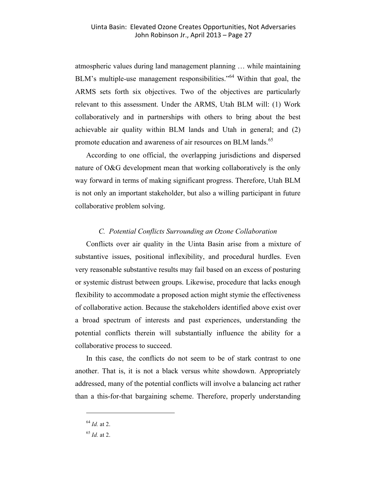atmospheric values during land management planning … while maintaining BLM's multiple-use management responsibilities."<sup>64</sup> Within that goal, the ARMS sets forth six objectives. Two of the objectives are particularly relevant to this assessment. Under the ARMS, Utah BLM will: (1) Work collaboratively and in partnerships with others to bring about the best achievable air quality within BLM lands and Utah in general; and (2) promote education and awareness of air resources on BLM lands.<sup>65</sup>

According to one official, the overlapping jurisdictions and dispersed nature of O&G development mean that working collaboratively is the only way forward in terms of making significant progress. Therefore, Utah BLM is not only an important stakeholder, but also a willing participant in future collaborative problem solving.

#### *C. Potential Conflicts Surrounding an Ozone Collaboration*

Conflicts over air quality in the Uinta Basin arise from a mixture of substantive issues, positional inflexibility, and procedural hurdles. Even very reasonable substantive results may fail based on an excess of posturing or systemic distrust between groups. Likewise, procedure that lacks enough flexibility to accommodate a proposed action might stymie the effectiveness of collaborative action. Because the stakeholders identified above exist over a broad spectrum of interests and past experiences, understanding the potential conflicts therein will substantially influence the ability for a collaborative process to succeed.

In this case, the conflicts do not seem to be of stark contrast to one another. That is, it is not a black versus white showdown. Appropriately addressed, many of the potential conflicts will involve a balancing act rather than a this-for-that bargaining scheme. Therefore, properly understanding

<sup>64</sup> *Id.* at 2.

<sup>65</sup> *Id.* at 2.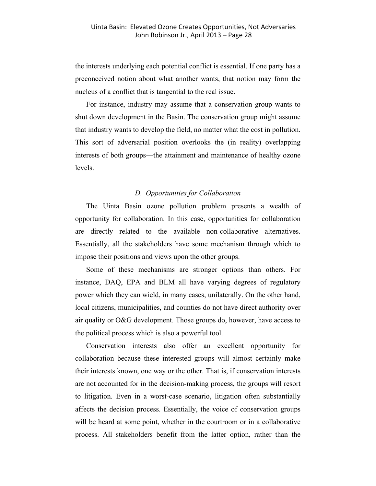the interests underlying each potential conflict is essential. If one party has a preconceived notion about what another wants, that notion may form the nucleus of a conflict that is tangential to the real issue.

For instance, industry may assume that a conservation group wants to shut down development in the Basin. The conservation group might assume that industry wants to develop the field, no matter what the cost in pollution. This sort of adversarial position overlooks the (in reality) overlapping interests of both groups—the attainment and maintenance of healthy ozone levels.

#### *D. Opportunities for Collaboration*

The Uinta Basin ozone pollution problem presents a wealth of opportunity for collaboration. In this case, opportunities for collaboration are directly related to the available non-collaborative alternatives. Essentially, all the stakeholders have some mechanism through which to impose their positions and views upon the other groups.

Some of these mechanisms are stronger options than others. For instance, DAQ, EPA and BLM all have varying degrees of regulatory power which they can wield, in many cases, unilaterally. On the other hand, local citizens, municipalities, and counties do not have direct authority over air quality or O&G development. Those groups do, however, have access to the political process which is also a powerful tool.

Conservation interests also offer an excellent opportunity for collaboration because these interested groups will almost certainly make their interests known, one way or the other. That is, if conservation interests are not accounted for in the decision-making process, the groups will resort to litigation. Even in a worst-case scenario, litigation often substantially affects the decision process. Essentially, the voice of conservation groups will be heard at some point, whether in the courtroom or in a collaborative process. All stakeholders benefit from the latter option, rather than the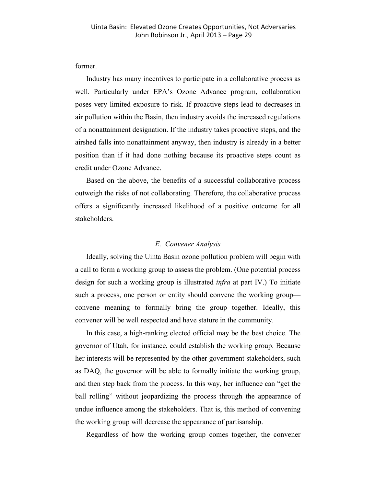former.

Industry has many incentives to participate in a collaborative process as well. Particularly under EPA's Ozone Advance program, collaboration poses very limited exposure to risk. If proactive steps lead to decreases in air pollution within the Basin, then industry avoids the increased regulations of a nonattainment designation. If the industry takes proactive steps, and the airshed falls into nonattainment anyway, then industry is already in a better position than if it had done nothing because its proactive steps count as credit under Ozone Advance.

Based on the above, the benefits of a successful collaborative process outweigh the risks of not collaborating. Therefore, the collaborative process offers a significantly increased likelihood of a positive outcome for all stakeholders.

#### *E. Convener Analysis*

Ideally, solving the Uinta Basin ozone pollution problem will begin with a call to form a working group to assess the problem. (One potential process design for such a working group is illustrated *infra* at part IV.) To initiate such a process, one person or entity should convene the working group convene meaning to formally bring the group together. Ideally, this convener will be well respected and have stature in the community.

In this case, a high-ranking elected official may be the best choice. The governor of Utah, for instance, could establish the working group. Because her interests will be represented by the other government stakeholders, such as DAQ, the governor will be able to formally initiate the working group, and then step back from the process. In this way, her influence can "get the ball rolling" without jeopardizing the process through the appearance of undue influence among the stakeholders. That is, this method of convening the working group will decrease the appearance of partisanship.

Regardless of how the working group comes together, the convener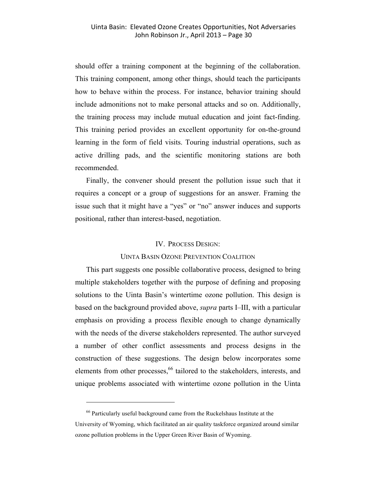should offer a training component at the beginning of the collaboration. This training component, among other things, should teach the participants how to behave within the process. For instance, behavior training should include admonitions not to make personal attacks and so on. Additionally, the training process may include mutual education and joint fact-finding. This training period provides an excellent opportunity for on-the-ground learning in the form of field visits. Touring industrial operations, such as active drilling pads, and the scientific monitoring stations are both recommended.

Finally, the convener should present the pollution issue such that it requires a concept or a group of suggestions for an answer. Framing the issue such that it might have a "yes" or "no" answer induces and supports positional, rather than interest-based, negotiation.

#### IV. PROCESS DESIGN:

#### UINTA BASIN OZONE PREVENTION COALITION

This part suggests one possible collaborative process, designed to bring multiple stakeholders together with the purpose of defining and proposing solutions to the Uinta Basin's wintertime ozone pollution. This design is based on the background provided above, *supra* parts I–III, with a particular emphasis on providing a process flexible enough to change dynamically with the needs of the diverse stakeholders represented. The author surveyed a number of other conflict assessments and process designs in the construction of these suggestions. The design below incorporates some elements from other processes,<sup>66</sup> tailored to the stakeholders, interests, and unique problems associated with wintertime ozone pollution in the Uinta

 $66$  Particularly useful background came from the Ruckelshaus Institute at the University of Wyoming, which facilitated an air quality taskforce organized around similar ozone pollution problems in the Upper Green River Basin of Wyoming.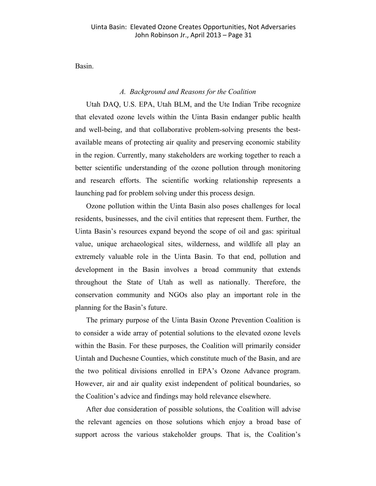Basin.

#### *A. Background and Reasons for the Coalition*

Utah DAQ, U.S. EPA, Utah BLM, and the Ute Indian Tribe recognize that elevated ozone levels within the Uinta Basin endanger public health and well-being, and that collaborative problem-solving presents the bestavailable means of protecting air quality and preserving economic stability in the region. Currently, many stakeholders are working together to reach a better scientific understanding of the ozone pollution through monitoring and research efforts. The scientific working relationship represents a launching pad for problem solving under this process design.

Ozone pollution within the Uinta Basin also poses challenges for local residents, businesses, and the civil entities that represent them. Further, the Uinta Basin's resources expand beyond the scope of oil and gas: spiritual value, unique archaeological sites, wilderness, and wildlife all play an extremely valuable role in the Uinta Basin. To that end, pollution and development in the Basin involves a broad community that extends throughout the State of Utah as well as nationally. Therefore, the conservation community and NGOs also play an important role in the planning for the Basin's future.

The primary purpose of the Uinta Basin Ozone Prevention Coalition is to consider a wide array of potential solutions to the elevated ozone levels within the Basin. For these purposes, the Coalition will primarily consider Uintah and Duchesne Counties, which constitute much of the Basin, and are the two political divisions enrolled in EPA's Ozone Advance program. However, air and air quality exist independent of political boundaries, so the Coalition's advice and findings may hold relevance elsewhere.

After due consideration of possible solutions, the Coalition will advise the relevant agencies on those solutions which enjoy a broad base of support across the various stakeholder groups. That is, the Coalition's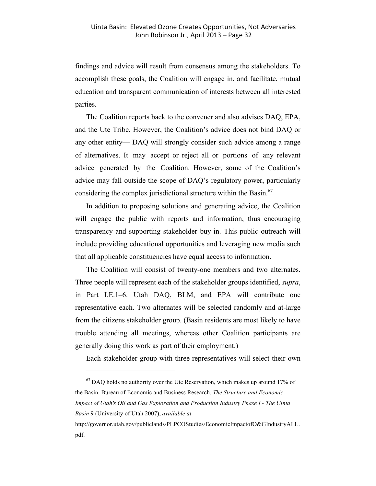findings and advice will result from consensus among the stakeholders. To accomplish these goals, the Coalition will engage in, and facilitate, mutual education and transparent communication of interests between all interested parties.

The Coalition reports back to the convener and also advises DAQ, EPA, and the Ute Tribe. However, the Coalition's advice does not bind DAQ or any other entity— DAQ will strongly consider such advice among a range of alternatives. It may accept or reject all or portions of any relevant advice generated by the Coalition. However, some of the Coalition's advice may fall outside the scope of DAQ's regulatory power, particularly considering the complex jurisdictional structure within the Basin.<sup>67</sup>

In addition to proposing solutions and generating advice, the Coalition will engage the public with reports and information, thus encouraging transparency and supporting stakeholder buy-in. This public outreach will include providing educational opportunities and leveraging new media such that all applicable constituencies have equal access to information.

The Coalition will consist of twenty-one members and two alternates. Three people will represent each of the stakeholder groups identified, *supra*, in Part I.E.1–6. Utah DAQ, BLM, and EPA will contribute one representative each. Two alternates will be selected randomly and at-large from the citizens stakeholder group. (Basin residents are most likely to have trouble attending all meetings, whereas other Coalition participants are generally doing this work as part of their employment.)

Each stakeholder group with three representatives will select their own

 $\overline{a}$ 

http://governor.utah.gov/publiclands/PLPCOStudies/EconomicImpactofO&GIndustryALL. pdf.

 $67$  DAQ holds no authority over the Ute Reservation, which makes up around 17% of the Basin. Bureau of Economic and Business Research, *The Structure and Economic Impact of Utah's Oil and Gas Exploration and Production Industry Phase I - The Uinta Basin* 9 (University of Utah 2007), *available at*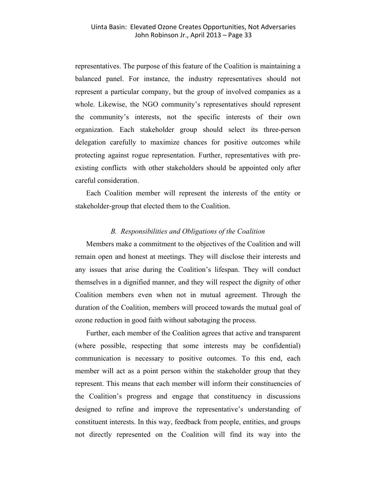representatives. The purpose of this feature of the Coalition is maintaining a balanced panel. For instance, the industry representatives should not represent a particular company, but the group of involved companies as a whole. Likewise, the NGO community's representatives should represent the community's interests, not the specific interests of their own organization. Each stakeholder group should select its three-person delegation carefully to maximize chances for positive outcomes while protecting against rogue representation. Further, representatives with preexisting conflicts with other stakeholders should be appointed only after careful consideration.

Each Coalition member will represent the interests of the entity or stakeholder-group that elected them to the Coalition.

#### *B. Responsibilities and Obligations of the Coalition*

Members make a commitment to the objectives of the Coalition and will remain open and honest at meetings. They will disclose their interests and any issues that arise during the Coalition's lifespan. They will conduct themselves in a dignified manner, and they will respect the dignity of other Coalition members even when not in mutual agreement. Through the duration of the Coalition, members will proceed towards the mutual goal of ozone reduction in good faith without sabotaging the process.

Further, each member of the Coalition agrees that active and transparent (where possible, respecting that some interests may be confidential) communication is necessary to positive outcomes. To this end, each member will act as a point person within the stakeholder group that they represent. This means that each member will inform their constituencies of the Coalition's progress and engage that constituency in discussions designed to refine and improve the representative's understanding of constituent interests. In this way, feedback from people, entities, and groups not directly represented on the Coalition will find its way into the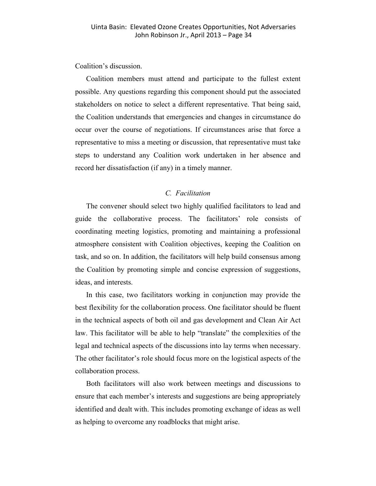Coalition's discussion.

Coalition members must attend and participate to the fullest extent possible. Any questions regarding this component should put the associated stakeholders on notice to select a different representative. That being said, the Coalition understands that emergencies and changes in circumstance do occur over the course of negotiations. If circumstances arise that force a representative to miss a meeting or discussion, that representative must take steps to understand any Coalition work undertaken in her absence and record her dissatisfaction (if any) in a timely manner.

#### *C. Facilitation*

The convener should select two highly qualified facilitators to lead and guide the collaborative process. The facilitators' role consists of coordinating meeting logistics, promoting and maintaining a professional atmosphere consistent with Coalition objectives, keeping the Coalition on task, and so on. In addition, the facilitators will help build consensus among the Coalition by promoting simple and concise expression of suggestions, ideas, and interests.

In this case, two facilitators working in conjunction may provide the best flexibility for the collaboration process. One facilitator should be fluent in the technical aspects of both oil and gas development and Clean Air Act law. This facilitator will be able to help "translate" the complexities of the legal and technical aspects of the discussions into lay terms when necessary. The other facilitator's role should focus more on the logistical aspects of the collaboration process.

Both facilitators will also work between meetings and discussions to ensure that each member's interests and suggestions are being appropriately identified and dealt with. This includes promoting exchange of ideas as well as helping to overcome any roadblocks that might arise.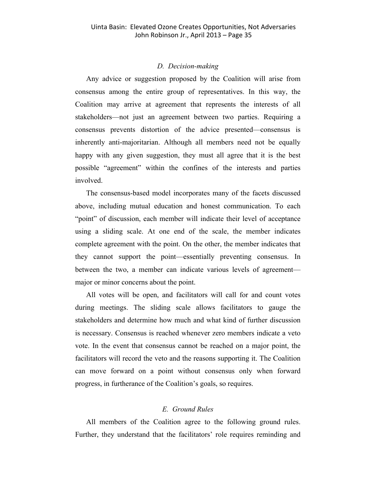#### *D. Decision-making*

Any advice or suggestion proposed by the Coalition will arise from consensus among the entire group of representatives. In this way, the Coalition may arrive at agreement that represents the interests of all stakeholders—not just an agreement between two parties. Requiring a consensus prevents distortion of the advice presented—consensus is inherently anti-majoritarian. Although all members need not be equally happy with any given suggestion, they must all agree that it is the best possible "agreement" within the confines of the interests and parties involved.

The consensus-based model incorporates many of the facets discussed above, including mutual education and honest communication. To each "point" of discussion, each member will indicate their level of acceptance using a sliding scale. At one end of the scale, the member indicates complete agreement with the point. On the other, the member indicates that they cannot support the point—essentially preventing consensus. In between the two, a member can indicate various levels of agreement major or minor concerns about the point.

All votes will be open, and facilitators will call for and count votes during meetings. The sliding scale allows facilitators to gauge the stakeholders and determine how much and what kind of further discussion is necessary. Consensus is reached whenever zero members indicate a veto vote. In the event that consensus cannot be reached on a major point, the facilitators will record the veto and the reasons supporting it. The Coalition can move forward on a point without consensus only when forward progress, in furtherance of the Coalition's goals, so requires.

#### *E. Ground Rules*

All members of the Coalition agree to the following ground rules. Further, they understand that the facilitators' role requires reminding and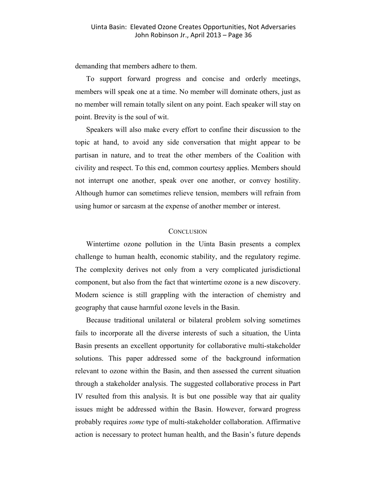demanding that members adhere to them.

To support forward progress and concise and orderly meetings, members will speak one at a time. No member will dominate others, just as no member will remain totally silent on any point. Each speaker will stay on point. Brevity is the soul of wit.

Speakers will also make every effort to confine their discussion to the topic at hand, to avoid any side conversation that might appear to be partisan in nature, and to treat the other members of the Coalition with civility and respect. To this end, common courtesy applies. Members should not interrupt one another, speak over one another, or convey hostility. Although humor can sometimes relieve tension, members will refrain from using humor or sarcasm at the expense of another member or interest.

#### **CONCLUSION**

Wintertime ozone pollution in the Uinta Basin presents a complex challenge to human health, economic stability, and the regulatory regime. The complexity derives not only from a very complicated jurisdictional component, but also from the fact that wintertime ozone is a new discovery. Modern science is still grappling with the interaction of chemistry and geography that cause harmful ozone levels in the Basin.

Because traditional unilateral or bilateral problem solving sometimes fails to incorporate all the diverse interests of such a situation, the Uinta Basin presents an excellent opportunity for collaborative multi-stakeholder solutions. This paper addressed some of the background information relevant to ozone within the Basin, and then assessed the current situation through a stakeholder analysis. The suggested collaborative process in Part IV resulted from this analysis. It is but one possible way that air quality issues might be addressed within the Basin. However, forward progress probably requires *some* type of multi-stakeholder collaboration. Affirmative action is necessary to protect human health, and the Basin's future depends